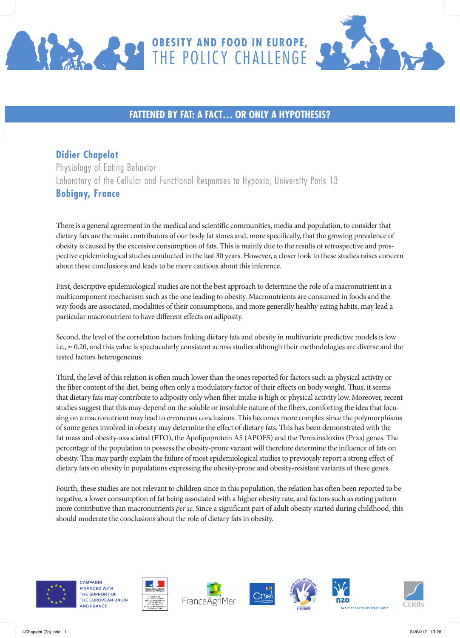



## **FATTENED BY FAT: A FACT… OR ONLY A HYPOTHESIS?**

**Didier Chapelot** Physiology of Eating Behavior Laboratory of the Cellular and Functional Responses to Hypoxia, University Paris 13 **Bobigny, France**

There is a general agreement in the medical and scientific communities, media and population, to consider that dietary fats are the main contributors of our body fat stores and, more specifically, that the growing prevalence of obesity is caused by the excessive consumption of fats. This is mainly due to the results of retrospective and prospective epidemiological studies conducted in the last 30 years. However, a closer look to these studies raises concern about these conclusions and leads to be more cautious about this inference.

First, descriptive epidemiological studies are not the best approach to determine the role of a macronutrient in a multicomponent mechanism such as the one leading to obesity. Macronutrients are consumed in foods and the way foods are associated, modalities of their consumptions, and more generally healthy eating habits, may lead a particular macronutrient to have different effects on adiposity.

Second, the level of the correlation factors linking dietary fats and obesity in multivariate predictive models is low i.e., ≈ 0.20, and this value is spectacularly consistent across studies although their methodologies are diverse and the tested factors heterogeneous.

Third, the level of this relation is often much lower than the ones reported for factors such as physical activity or the fiber content of the diet, being often only a modulatory factor of their effects on body weight. Thus, it seems that dietary fats may contribute to adiposity only when fiber intake is high or physical activity low. Moreover, recent studies suggest that this may depend on the soluble or insoluble nature of the fibers, comforting the idea that focusing on a macronutrient may lead to erroneous conclusions. This becomes more complex since the polymorphisms of some genes involved in obesity may determine the effect of dietary fats. This has been demonstrated with the fat mass and obesity-associated (FTO), the Apolipoprotein A5 (APOE5) and the Peroxiredoxins (Prxs) genes. The percentage of the population to possess the obesity-prone variant will therefore determine the influence of fats on obesity. This may partly explain the failure of most epidemiological studies to previously report a strong effect of dietary fats on obesity in populations expressing the obesity-prone and obesity-resistant variants of these genes.

Fourth, these studies are not relevant to children since in this population, the relation has often been reported to be negative, a lower consumption of fat being associated with a higher obesity rate, and factors such as eating pattern more contributive than macronutrients *per se*. Since a significant part of adult obesity started during childhood, this should moderate the conclusions about the role of dietary fats in obesity.



**CAMPAIGN FINANCED WITH** THE SUPPORT OF THE EUROPEAN UNION **AND FRANCE**